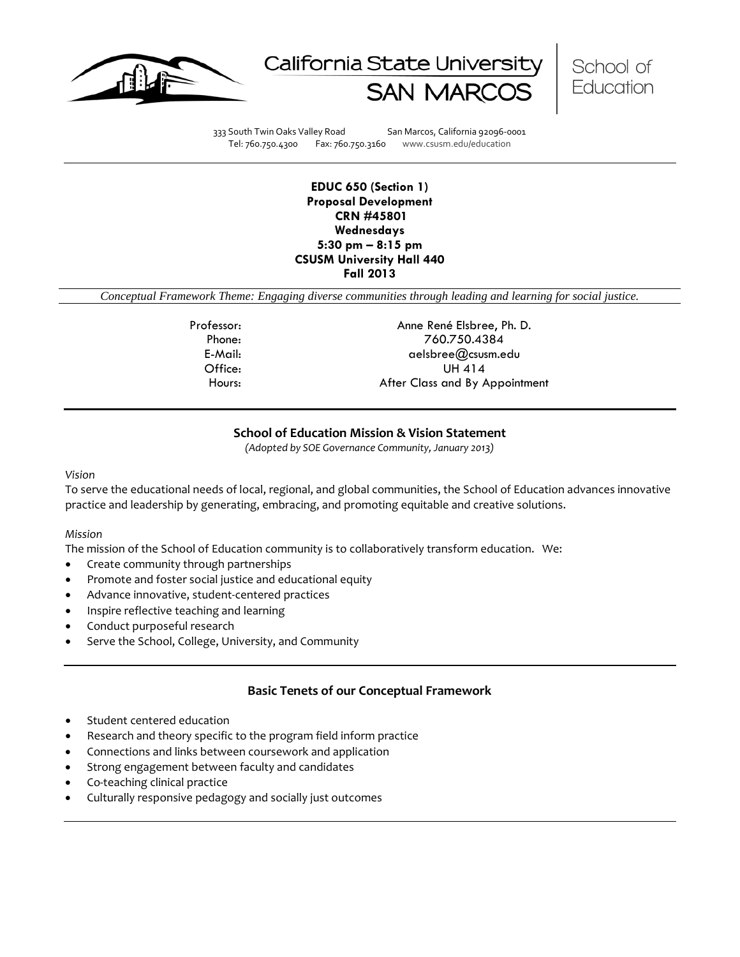





333 South Twin Oaks Valley Road San Marcos, California 92096-0001 Tel: 760.750.4300 Fax: 760.750.3160 www.csusm.edu/education

### **EDUC 650 (Section 1) Proposal Development CRN #45801 Wednesdays 5:30 pm – 8:15 pm CSUSM University Hall 440 Fall 2013**

*Conceptual Framework Theme: Engaging diverse communities through leading and learning for social justice.*

Professor: Anne René Elsbree, Ph. D. Phone: 760.750.4384 E-Mail: aelsbree@csusm.edu Office: UH 414 Hours: **After Class and By Appointment** 

## **School of Education Mission & Vision Statement**

*(Adopted by SOE Governance Community, January 2013)*

#### *Vision*

To serve the educational needs of local, regional, and global communities, the School of Education advances innovative practice and leadership by generating, embracing, and promoting equitable and creative solutions.

#### *Mission*

The mission of the School of Education community is to collaboratively transform education. We:

- Create community through partnerships
- Promote and foster social justice and educational equity
- Advance innovative, student-centered practices
- Inspire reflective teaching and learning
- Conduct purposeful research
- Serve the School, College, University, and Community

## **Basic Tenets of our Conceptual Framework**

- Student centered education
- Research and theory specific to the program field inform practice
- Connections and links between coursework and application
- Strong engagement between faculty and candidates
- Co-teaching clinical practice
- Culturally responsive pedagogy and socially just outcomes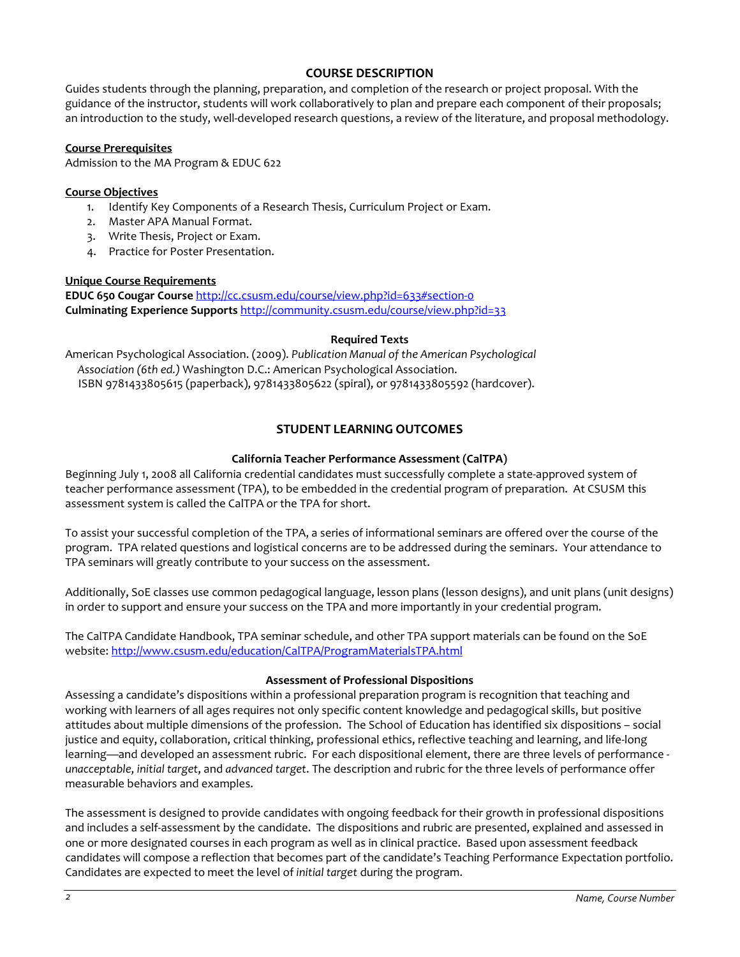## **COURSE DESCRIPTION**

Guides students through the planning, preparation, and completion of the research or project proposal. With the guidance of the instructor, students will work collaboratively to plan and prepare each component of their proposals; an introduction to the study, well-developed research questions, a review of the literature, and proposal methodology.

### **Course Prerequisites**

Admission to the MA Program & EDUC 622

### **Course Objectives**

- 1. Identify Key Components of a Research Thesis, Curriculum Project or Exam.
- 2. Master APA Manual Format.
- 3. Write Thesis, Project or Exam.
- 4. Practice for Poster Presentation.

### **Unique Course Requirements**

**EDUC 650 Cougar Course** <http://cc.csusm.edu/course/view.php?id=633#section-0> **Culminating Experience Supports** <http://community.csusm.edu/course/view.php?id=33>

### **Required Texts**

American Psychological Association. (2009). *Publication Manual of the American Psychological Association (6th ed.)* Washington D.C.: American Psychological Association. ISBN 9781433805615 (paperback), 9781433805622 (spiral), or 9781433805592 (hardcover).

# **STUDENT LEARNING OUTCOMES**

## **California Teacher Performance Assessment (CalTPA)**

Beginning July 1, 2008 all California credential candidates must successfully complete a state-approved system of teacher performance assessment (TPA), to be embedded in the credential program of preparation. At CSUSM this assessment system is called the CalTPA or the TPA for short.

To assist your successful completion of the TPA, a series of informational seminars are offered over the course of the program. TPA related questions and logistical concerns are to be addressed during the seminars. Your attendance to TPA seminars will greatly contribute to your success on the assessment.

Additionally, SoE classes use common pedagogical language, lesson plans (lesson designs), and unit plans (unit designs) in order to support and ensure your success on the TPA and more importantly in your credential program.

The CalTPA Candidate Handbook, TPA seminar schedule, and other TPA support materials can be found on the SoE website: <http://www.csusm.edu/education/CalTPA/ProgramMaterialsTPA.html>

### **Assessment of Professional Dispositions**

Assessing a candidate's dispositions within a professional preparation program is recognition that teaching and working with learners of all ages requires not only specific content knowledge and pedagogical skills, but positive attitudes about multiple dimensions of the profession. The School of Education has identified six dispositions – social justice and equity, collaboration, critical thinking, professional ethics, reflective teaching and learning, and life-long learning—and developed an assessment rubric. For each dispositional element, there are three levels of performance *unacceptable*, *initial target*, and *advanced target*. The description and rubric for the three levels of performance offer measurable behaviors and examples.

The assessment is designed to provide candidates with ongoing feedback for their growth in professional dispositions and includes a self-assessment by the candidate. The dispositions and rubric are presented, explained and assessed in one or more designated courses in each program as well as in clinical practice. Based upon assessment feedback candidates will compose a reflection that becomes part of the candidate's Teaching Performance Expectation portfolio. Candidates are expected to meet the level of *initial target* during the program.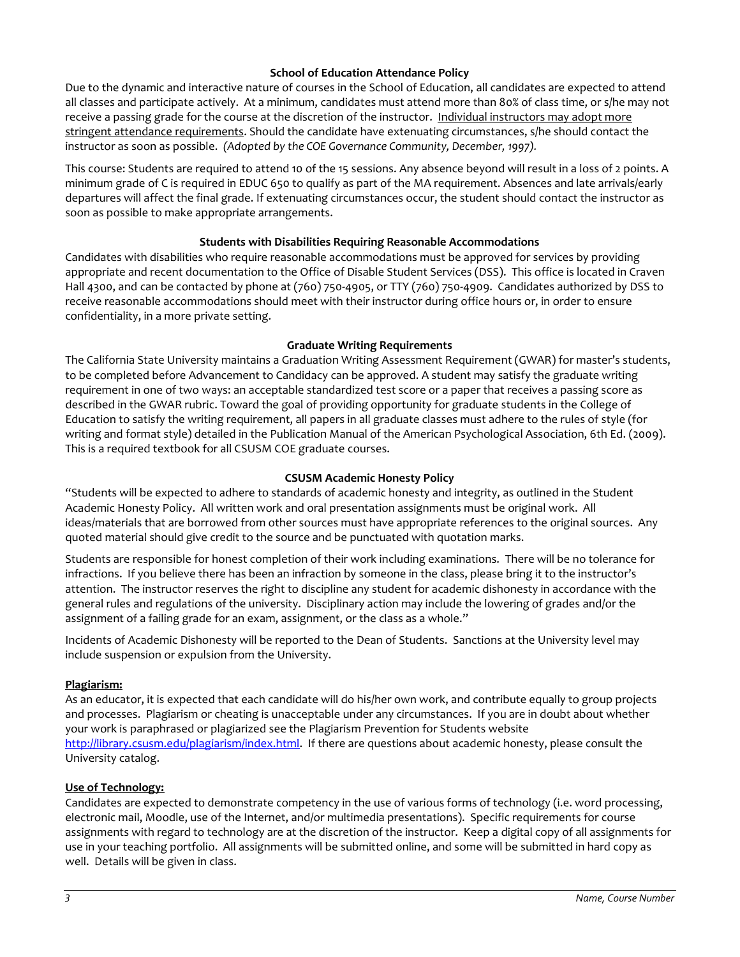## **School of Education Attendance Policy**

Due to the dynamic and interactive nature of courses in the School of Education, all candidates are expected to attend all classes and participate actively. At a minimum, candidates must attend more than 80% of class time, or s/he may not receive a passing grade for the course at the discretion of the instructor. Individual instructors may adopt more stringent attendance requirements. Should the candidate have extenuating circumstances, s/he should contact the instructor as soon as possible. *(Adopted by the COE Governance Community, December, 1997).*

This course: Students are required to attend 10 of the 15 sessions. Any absence beyond will result in a loss of 2 points. A minimum grade of C is required in EDUC 650 to qualify as part of the MA requirement. Absences and late arrivals/early departures will affect the final grade. If extenuating circumstances occur, the student should contact the instructor as soon as possible to make appropriate arrangements.

## **Students with Disabilities Requiring Reasonable Accommodations**

Candidates with disabilities who require reasonable accommodations must be approved for services by providing appropriate and recent documentation to the Office of Disable Student Services (DSS). This office is located in Craven Hall 4300, and can be contacted by phone at (760) 750-4905, or TTY (760) 750-4909. Candidates authorized by DSS to receive reasonable accommodations should meet with their instructor during office hours or, in order to ensure confidentiality, in a more private setting.

### **Graduate Writing Requirements**

The California State University maintains a Graduation Writing Assessment Requirement (GWAR) for master's students, to be completed before Advancement to Candidacy can be approved. A student may satisfy the graduate writing requirement in one of two ways: an acceptable standardized test score or a paper that receives a passing score as described in the GWAR rubric. Toward the goal of providing opportunity for graduate students in the College of Education to satisfy the writing requirement, all papers in all graduate classes must adhere to the rules of style (for writing and format style) detailed in the Publication Manual of the American Psychological Association, 6th Ed. (2009). This is a required textbook for all CSUSM COE graduate courses.

### **CSUSM Academic Honesty Policy**

"Students will be expected to adhere to standards of academic honesty and integrity, as outlined in the Student Academic Honesty Policy. All written work and oral presentation assignments must be original work. All ideas/materials that are borrowed from other sources must have appropriate references to the original sources. Any quoted material should give credit to the source and be punctuated with quotation marks.

Students are responsible for honest completion of their work including examinations. There will be no tolerance for infractions. If you believe there has been an infraction by someone in the class, please bring it to the instructor's attention. The instructor reserves the right to discipline any student for academic dishonesty in accordance with the general rules and regulations of the university. Disciplinary action may include the lowering of grades and/or the assignment of a failing grade for an exam, assignment, or the class as a whole."

Incidents of Academic Dishonesty will be reported to the Dean of Students. Sanctions at the University level may include suspension or expulsion from the University.

### **Plagiarism:**

As an educator, it is expected that each candidate will do his/her own work, and contribute equally to group projects and processes. Plagiarism or cheating is unacceptable under any circumstances. If you are in doubt about whether your work is paraphrased or plagiarized see the Plagiarism Prevention for Students website [http://library.csusm.edu/plagiarism/index.html.](http://library.csusm.edu/plagiarism/index.html) If there are questions about academic honesty, please consult the University catalog.

### **Use of Technology:**

Candidates are expected to demonstrate competency in the use of various forms of technology (i.e. word processing, electronic mail, Moodle, use of the Internet, and/or multimedia presentations). Specific requirements for course assignments with regard to technology are at the discretion of the instructor. Keep a digital copy of all assignments for use in your teaching portfolio. All assignments will be submitted online, and some will be submitted in hard copy as well. Details will be given in class.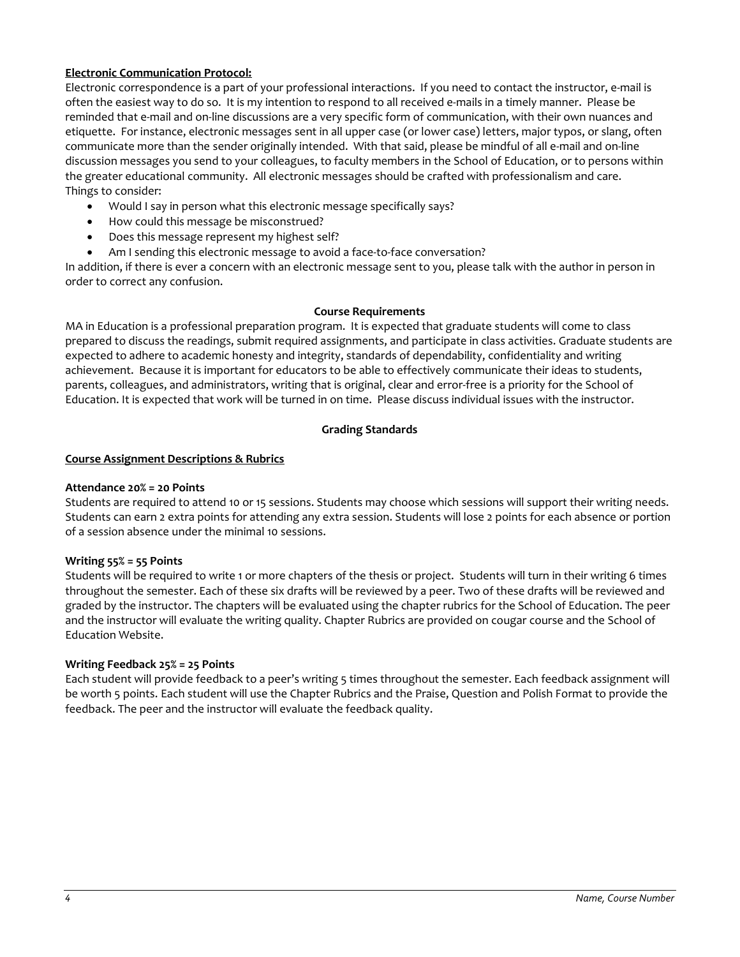## **Electronic Communication Protocol:**

Electronic correspondence is a part of your professional interactions. If you need to contact the instructor, e-mail is often the easiest way to do so. It is my intention to respond to all received e-mails in a timely manner. Please be reminded that e-mail and on-line discussions are a very specific form of communication, with their own nuances and etiquette. For instance, electronic messages sent in all upper case (or lower case) letters, major typos, or slang, often communicate more than the sender originally intended. With that said, please be mindful of all e-mail and on-line discussion messages you send to your colleagues, to faculty members in the School of Education, or to persons within the greater educational community. All electronic messages should be crafted with professionalism and care. Things to consider:

- Would I say in person what this electronic message specifically says?
- How could this message be misconstrued?
- Does this message represent my highest self?
- Am I sending this electronic message to avoid a face-to-face conversation?

In addition, if there is ever a concern with an electronic message sent to you, please talk with the author in person in order to correct any confusion.

#### **Course Requirements**

MA in Education is a professional preparation program. It is expected that graduate students will come to class prepared to discuss the readings, submit required assignments, and participate in class activities. Graduate students are expected to adhere to academic honesty and integrity, standards of dependability, confidentiality and writing achievement. Because it is important for educators to be able to effectively communicate their ideas to students, parents, colleagues, and administrators, writing that is original, clear and error-free is a priority for the School of Education. It is expected that work will be turned in on time. Please discuss individual issues with the instructor.

### **Grading Standards**

### **Course Assignment Descriptions & Rubrics**

### **Attendance 20% = 20 Points**

Students are required to attend 10 or 15 sessions. Students may choose which sessions will support their writing needs. Students can earn 2 extra points for attending any extra session. Students will lose 2 points for each absence or portion of a session absence under the minimal 10 sessions.

### **Writing 55% = 55 Points**

Students will be required to write 1 or more chapters of the thesis or project. Students will turn in their writing 6 times throughout the semester. Each of these six drafts will be reviewed by a peer. Two of these drafts will be reviewed and graded by the instructor. The chapters will be evaluated using the chapter rubrics for the School of Education. The peer and the instructor will evaluate the writing quality. Chapter Rubrics are provided on cougar course and the School of Education Website.

### **Writing Feedback 25% = 25 Points**

Each student will provide feedback to a peer's writing 5 times throughout the semester. Each feedback assignment will be worth 5 points. Each student will use the Chapter Rubrics and the Praise, Question and Polish Format to provide the feedback. The peer and the instructor will evaluate the feedback quality.